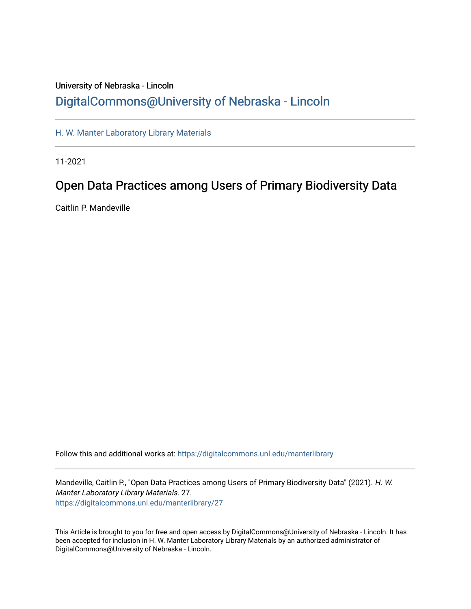# University of Nebraska - Lincoln [DigitalCommons@University of Nebraska - Lincoln](https://digitalcommons.unl.edu/)

[H. W. Manter Laboratory Library Materials](https://digitalcommons.unl.edu/manterlibrary) 

11-2021

# Open Data Practices among Users of Primary Biodiversity Data

Caitlin P. Mandeville

Follow this and additional works at: [https://digitalcommons.unl.edu/manterlibrary](https://digitalcommons.unl.edu/manterlibrary?utm_source=digitalcommons.unl.edu%2Fmanterlibrary%2F27&utm_medium=PDF&utm_campaign=PDFCoverPages) 

Mandeville, Caitlin P., "Open Data Practices among Users of Primary Biodiversity Data" (2021). H. W. Manter Laboratory Library Materials. 27. [https://digitalcommons.unl.edu/manterlibrary/27](https://digitalcommons.unl.edu/manterlibrary/27?utm_source=digitalcommons.unl.edu%2Fmanterlibrary%2F27&utm_medium=PDF&utm_campaign=PDFCoverPages)

This Article is brought to you for free and open access by DigitalCommons@University of Nebraska - Lincoln. It has been accepted for inclusion in H. W. Manter Laboratory Library Materials by an authorized administrator of DigitalCommons@University of Nebraska - Lincoln.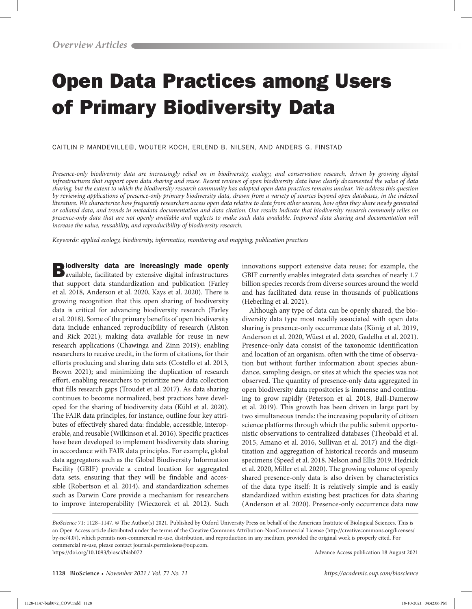# Open Data Practices among Users of Primary Biodiversity Data

CAITLIN P. MANDEVILLE D. WOUTER KOCH[,](http://orcid.org/0000-0001-7672-2577) ERLEND B. NILSEN, AND ANDERS G. FINSTAD

*Presence-only biodiversity data are increasingly relied on in biodiversity, ecology, and conservation research, driven by growing digital infrastructures that support open data sharing and reuse. Recent reviews of open biodiversity data have clearly documented the value of data sharing, but the extent to which the biodiversity research community has adopted open data practices remains unclear. We address this question by reviewing applications of presence-only primary biodiversity data, drawn from a variety of sources beyond open databases, in the indexed literature. We characterize how frequently researchers access open data relative to data from other sources, how often they share newly generated or collated data, and trends in metadata documentation and data citation. Our results indicate that biodiversity research commonly relies on presence-only data that are not openly available and neglects to make such data available. Improved data sharing and documentation will increase the value, reusability, and reproducibility of biodiversity research.*

*Keywords: applied ecology, biodiversity, informatics, monitoring and mapping, publication practices*

**Biodiversity data are increasingly made openly** available, facilitated by extensive digital infrastructures that support data standardization and publication (Farley et al. 2018, Anderson et al. 2020, Kays et al. 2020). There is growing recognition that this open sharing of biodiversity data is critical for advancing biodiversity research (Farley et al. 2018). Some of the primary benefits of open biodiversity data include enhanced reproducibility of research (Alston and Rick 2021); making data available for reuse in new research applications (Chawinga and Zinn 2019); enabling researchers to receive credit, in the form of citations, for their efforts producing and sharing data sets (Costello et al. 2013, Brown 2021); and minimizing the duplication of research effort, enabling researchers to prioritize new data collection that fills research gaps (Troudet et al. 2017). As data sharing continues to become normalized, best practices have developed for the sharing of biodiversity data (Kühl et al. 2020). The FAIR data principles, for instance, outline four key attributes of effectively shared data: findable, accessible, interoperable, and reusable (Wilkinson et al. 2016). Specific practices have been developed to implement biodiversity data sharing in accordance with FAIR data principles. For example, global data aggregators such as the Global Biodiversity Information Facility (GBIF) provide a central location for aggregated data sets, ensuring that they will be findable and accessible (Robertson et al. 2014), and standardization schemes such as Darwin Core provide a mechanism for researchers to improve interoperability (Wieczorek et al. 2012). Such

innovations support extensive data reuse; for example, the GBIF currently enables integrated data searches of nearly 1.7 billion species records from diverse sources around the world and has facilitated data reuse in thousands of publications (Heberling et al. 2021).

Although any type of data can be openly shared, the biodiversity data type most readily associated with open data sharing is presence-only occurrence data (König et al. 2019, Anderson et al. 2020, Wüest et al. 2020, Gadelha et al. 2021). Presence-only data consist of the taxonomic identification and location of an organism, often with the time of observation but without further information about species abundance, sampling design, or sites at which the species was not observed. The quantity of presence-only data aggregated in open biodiversity data repositories is immense and continuing to grow rapidly (Peterson et al. 2018, Ball-Damerow et al. 2019). This growth has been driven in large part by two simultaneous trends: the increasing popularity of citizen science platforms through which the public submit opportunistic observations to centralized databases (Theobald et al. 2015, Amano et al. 2016, Sullivan et al. 2017) and the digitization and aggregation of historical records and museum specimens (Speed et al. 2018, Nelson and Ellis 2019, Hedrick et al. 2020, Miller et al. 2020). The growing volume of openly shared presence-only data is also driven by characteristics of the data type itself: It is relatively simple and is easily standardized within existing best practices for data sharing (Anderson et al. 2020). Presence-only occurrence data now

*BioScience* 71: 1128–1147. © The Author(s) 2021. Published by Oxford University Press on behalf of the American Institute of Biological Sciences. This is an Open Access article distributed under the terms of the Creative Commons Attribution-NonCommercial License (http://creativecommons.org/licenses/ by-nc/4.0/), which permits non-commercial re-use, distribution, and reproduction in any medium, provided the original work is properly cited. For commercial re-use, please contact journals.permissions@oup.com. https://doi.org/10.1093/biosci/biab072 Advance Access publication 18 August 2021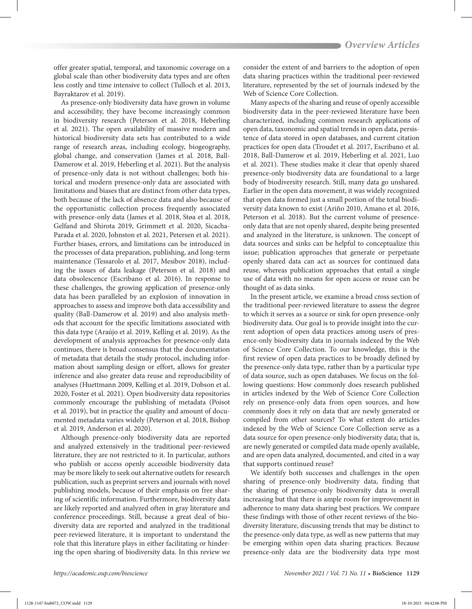offer greater spatial, temporal, and taxonomic coverage on a global scale than other biodiversity data types and are often less costly and time intensive to collect (Tulloch et al. 2013, Bayraktarov et al. 2019).

As presence-only biodiversity data have grown in volume and accessibility, they have become increasingly common in biodiversity research (Peterson et al. 2018, Heberling et al. 2021). The open availability of massive modern and historical biodiversity data sets has contributed to a wide range of research areas, including ecology, biogeography, global change, and conservation (James et al. 2018, Ball-Damerow et al. 2019, Heberling et al. 2021). But the analysis of presence-only data is not without challenges; both historical and modern presence-only data are associated with limitations and biases that are distinct from other data types, both because of the lack of absence data and also because of the opportunistic collection process frequently associated with presence-only data (James et al. 2018, Støa et al. 2018, Gelfand and Shirota 2019, Grimmett et al. 2020, Sicacha-Parada et al. 2020, Johnston et al. 2021, Petersen et al. 2021). Further biases, errors, and limitations can be introduced in the processes of data preparation, publishing, and long-term maintenance (Tessarolo et al. 2017, Mesibov 2018), including the issues of data leakage (Peterson et al. 2018) and data obsolescence (Escribano et al. 2016). In response to these challenges, the growing application of presence-only data has been paralleled by an explosion of innovation in approaches to assess and improve both data accessibility and quality (Ball-Damerow et al. 2019) and also analysis methods that account for the specific limitations associated with this data type (Araújo et al. 2019, Kelling et al. 2019). As the development of analysis approaches for presence-only data continues, there is broad consensus that the documentation of metadata that details the study protocol, including information about sampling design or effort, allows for greater inference and also greater data reuse and reproducibility of analyses (Huettmann 2009, Kelling et al. 2019, Dobson et al. 2020, Foster et al. 2021). Open biodiversity data repositories commonly encourage the publishing of metadata (Poisot et al. 2019), but in practice the quality and amount of documented metadata varies widely (Peterson et al. 2018, Bishop et al. 2019, Anderson et al. 2020).

Although presence-only biodiversity data are reported and analyzed extensively in the traditional peer-reviewed literature, they are not restricted to it. In particular, authors who publish or access openly accessible biodiversity data may be more likely to seek out alternative outlets for research publication, such as preprint servers and journals with novel publishing models, because of their emphasis on free sharing of scientific information. Furthermore, biodiversity data are likely reported and analyzed often in gray literature and conference proceedings. Still, because a great deal of biodiversity data are reported and analyzed in the traditional peer-reviewed literature, it is important to understand the role that this literature plays in either facilitating or hindering the open sharing of biodiversity data. In this review we

consider the extent of and barriers to the adoption of open data sharing practices within the traditional peer-reviewed literature, represented by the set of journals indexed by the Web of Science Core Collection.

Many aspects of the sharing and reuse of openly accessible biodiversity data in the peer-reviewed literature have been characterized, including common research applications of open data, taxonomic and spatial trends in open data, persistence of data stored in open databases, and current citation practices for open data (Troudet et al. 2017, Escribano et al. 2018, Ball-Damerow et al. 2019, Heberling et al. 2021, Luo et al. 2021). These studies make it clear that openly shared presence-only biodiversity data are foundational to a large body of biodiversity research. Still, many data go unshared. Earlier in the open data movement, it was widely recognized that open data formed just a small portion of the total biodiversity data known to exist (Ariño 2010, Amano et al. 2016, Peterson et al. 2018). But the current volume of presenceonly data that are not openly shared, despite being presented and analyzed in the literature, is unknown. The concept of data sources and sinks can be helpful to conceptualize this issue; publication approaches that generate or perpetuate openly shared data can act as sources for continued data reuse, whereas publication approaches that entail a single use of data with no means for open access or reuse can be thought of as data sinks.

In the present article, we examine a broad cross section of the traditional peer-reviewed literature to assess the degree to which it serves as a source or sink for open presence-only biodiversity data. Our goal is to provide insight into the current adoption of open data practices among users of presence-only biodiversity data in journals indexed by the Web of Science Core Collection. To our knowledge, this is the first review of open data practices to be broadly defined by the presence-only data type, rather than by a particular type of data source, such as open databases. We focus on the following questions: How commonly does research published in articles indexed by the Web of Science Core Collection rely on presence-only data from open sources, and how commonly does it rely on data that are newly generated or compiled from other sources? To what extent do articles indexed by the Web of Science Core Collection serve as a data source for open presence-only biodiversity data; that is, are newly generated or compiled data made openly available, and are open data analyzed, documented, and cited in a way that supports continued reuse?

We identify both successes and challenges in the open sharing of presence-only biodiversity data, finding that the sharing of presence-only biodiversity data is overall increasing but that there is ample room for improvement in adherence to many data sharing best practices. We compare these findings with those of other recent reviews of the biodiversity literature, discussing trends that may be distinct to the presence-only data type, as well as new patterns that may be emerging within open data sharing practices. Because presence-only data are the biodiversity data type most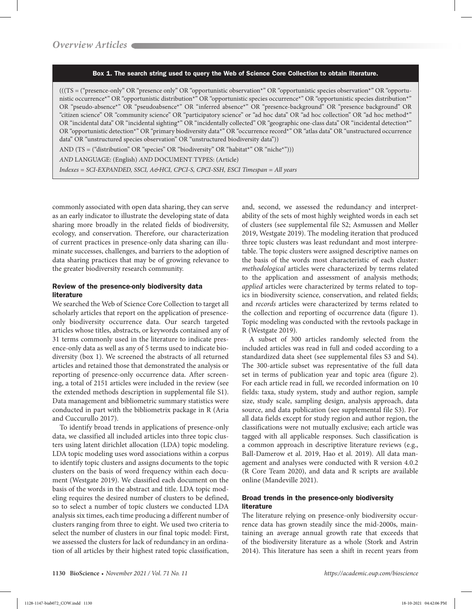#### Box 1. The search string used to query the Web of Science Core Collection to obtain literature.

(((TS = ("presence-only" OR "presence only" OR "opportunistic observation\*" OR "opportunistic species observation\*" OR "opportunistic occurrence\*" OR "opportunistic distribution\*" OR "opportunistic species occurrence\*" OR "opportunistic species distribution\*" OR "pseudo-absence\*" OR "pseudoabsence\*" OR "inferred absence\*" OR "presence-background" OR "presence background" OR "citizen science" OR "community science" OR "participatory science" or "ad hoc data" OR "ad hoc collection" OR "ad hoc method\*" OR "incidental data" OR "incidental sighting\*" OR "incidentally collected" OR "geographic one-class data" OR "incidental detection\*" OR "opportunistic detection\*" OR "primary biodiversity data\*" OR "occurrence record\*" OR "atlas data" OR "unstructured occurrence data" OR "unstructured species observation" OR "unstructured biodiversity data"))

AND (TS = ("distribution" OR "species" OR "biodiversity" OR "habitat\*" OR "niche\*")))

*AND* LANGUAGE: (English) *AND* DOCUMENT TYPES: (Article)

*Indexes = SCI-EXPANDED, SSCI, A&HCI, CPCI-S, CPCI-SSH, ESCI Timespan = All years*

commonly associated with open data sharing, they can serve as an early indicator to illustrate the developing state of data sharing more broadly in the related fields of biodiversity, ecology, and conservation. Therefore, our characterization of current practices in presence-only data sharing can illuminate successes, challenges, and barriers to the adoption of data sharing practices that may be of growing relevance to the greater biodiversity research community.

#### Review of the presence-only biodiversity data literature

We searched the Web of Science Core Collection to target all scholarly articles that report on the application of presenceonly biodiversity occurrence data. Our search targeted articles whose titles, abstracts, or keywords contained any of 31 terms commonly used in the literature to indicate presence-only data as well as any of 5 terms used to indicate biodiversity (box 1). We screened the abstracts of all returned articles and retained those that demonstrated the analysis or reporting of presence-only occurrence data. After screening, a total of 2151 articles were included in the review (see the extended methods description in supplemental file S1). Data management and bibliometric summary statistics were conducted in part with the bibliometrix package in R (Aria and Cuccurullo 2017).

To identify broad trends in applications of presence-only data, we classified all included articles into three topic clusters using latent dirichlet allocation (LDA) topic modeling. LDA topic modeling uses word associations within a corpus to identify topic clusters and assigns documents to the topic clusters on the basis of word frequency within each document (Westgate 2019). We classified each document on the basis of the words in the abstract and title. LDA topic modeling requires the desired number of clusters to be defined, so to select a number of topic clusters we conducted LDA analysis six times, each time producing a different number of clusters ranging from three to eight. We used two criteria to select the number of clusters in our final topic model: First, we assessed the clusters for lack of redundancy in an ordination of all articles by their highest rated topic classification,

and, second, we assessed the redundancy and interpretability of the sets of most highly weighted words in each set of clusters (see supplemental file S2; Asmussen and Møller 2019, Westgate 2019). The modeling iteration that produced three topic clusters was least redundant and most interpretable. The topic clusters were assigned descriptive names on the basis of the words most characteristic of each cluster: *methodological* articles were characterized by terms related to the application and assessment of analysis methods; *applied* articles were characterized by terms related to topics in biodiversity science, conservation, and related fields; and *records* articles were characterized by terms related to the collection and reporting of occurrence data (figure 1). Topic modeling was conducted with the revtools package in R (Westgate 2019).

A subset of 300 articles randomly selected from the included articles was read in full and coded according to a standardized data sheet (see supplemental files S3 and S4). The 300-article subset was representative of the full data set in terms of publication year and topic area (figure 2). For each article read in full, we recorded information on 10 fields: taxa, study system, study and author region, sample size, study scale, sampling design, analysis approach, data source, and data publication (see supplemental file S3). For all data fields except for study region and author region, the classifications were not mutually exclusive; each article was tagged with all applicable responses. Such classification is a common approach in descriptive literature reviews (e.g., Ball-Damerow et al. 2019, Hao et al. 2019). All data management and analyses were conducted with R version 4.0.2 (R Core Team 2020), and data and R scripts are available online (Mandeville 2021).

#### Broad trends in the presence-only biodiversity literature

The literature relying on presence-only biodiversity occurrence data has grown steadily since the mid-2000s, maintaining an average annual growth rate that exceeds that of the biodiversity literature as a whole (Stork and Astrin 2014). This literature has seen a shift in recent years from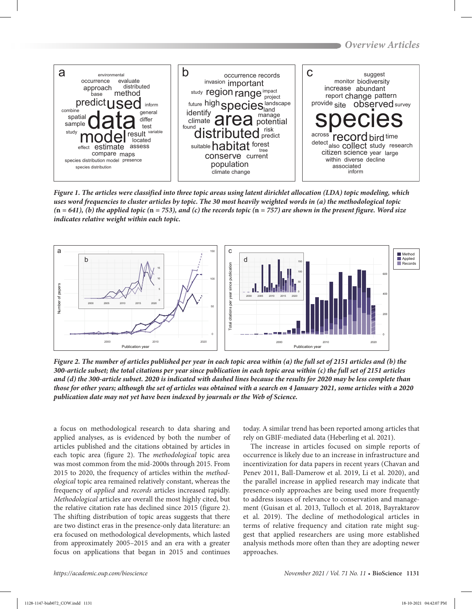

*Figure 1. The articles were classified into three topic areas using latent dirichlet allocation (LDA) topic modeling, which uses word frequencies to cluster articles by topic. The 30 most heavily weighted words in (a) the methodological topic (***n** *= 641), (b) the applied topic (***n** *= 753), and (c) the records topic (***n** *= 757) are shown in the present figure. Word size indicates relative weight within each topic.*



*Figure 2. The number of articles published per year in each topic area within (a) the full set of 2151 articles and (b) the 300-article subset; the total citations per year since publication in each topic area within (c) the full set of 2151 articles and (d) the 300-article subset. 2020 is indicated with dashed lines because the results for 2020 may be less complete than those for other years; although the set of articles was obtained with a search on 4 January 2021, some articles with a 2020 publication date may not yet have been indexed by journals or the Web of Science.*

a focus on methodological research to data sharing and applied analyses, as is evidenced by both the number of articles published and the citations obtained by articles in each topic area (figure 2). The *methodological* topic area was most common from the mid-2000s through 2015. From 2015 to 2020, the frequency of articles within the *methodological* topic area remained relatively constant, whereas the frequency of *applied* and *records* articles increased rapidly. *Methodological* articles are overall the most highly cited, but the relative citation rate has declined since 2015 (figure 2). The shifting distribution of topic areas suggests that there are two distinct eras in the presence-only data literature: an era focused on methodological developments, which lasted from approximately 2005–2015 and an era with a greater focus on applications that began in 2015 and continues

today. A similar trend has been reported among articles that rely on GBIF-mediated data (Heberling et al. 2021).

The increase in articles focused on simple reports of occurrence is likely due to an increase in infrastructure and incentivization for data papers in recent years (Chavan and Penev 2011, Ball-Damerow et al. 2019, Li et al. 2020), and the parallel increase in applied research may indicate that presence-only approaches are being used more frequently to address issues of relevance to conservation and management (Guisan et al. 2013, Tulloch et al. 2018, Bayraktarov et al. 2019). The decline of methodological articles in terms of relative frequency and citation rate might suggest that applied researchers are using more established analysis methods more often than they are adopting newer approaches.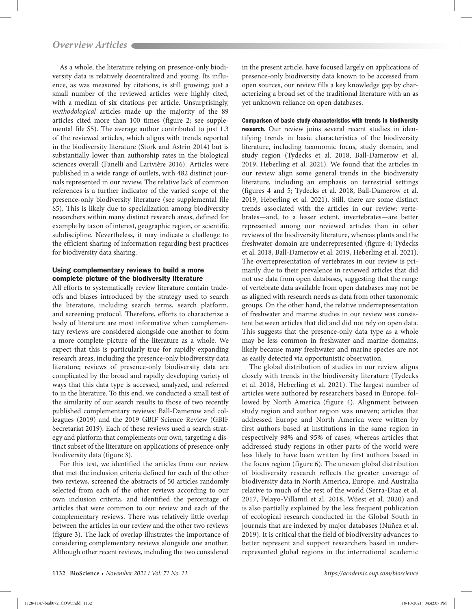As a whole, the literature relying on presence-only biodiversity data is relatively decentralized and young. Its influence, as was measured by citations, is still growing; just a small number of the reviewed articles were highly cited, with a median of six citations per article. Unsurprisingly, *methodological* articles made up the majority of the 89 articles cited more than 100 times (figure 2; see supplemental file S5). The average author contributed to just 1.3 of the reviewed articles, which aligns with trends reported in the biodiversity literature (Stork and Astrin 2014) but is substantially lower than authorship rates in the biological sciences overall (Fanelli and Larivière 2016). Articles were published in a wide range of outlets, with 482 distinct journals represented in our review. The relative lack of common references is a further indicator of the varied scope of the presence-only biodiversity literature (see supplemental file S5). This is likely due to specialization among biodiversity researchers within many distinct research areas, defined for example by taxon of interest, geographic region, or scientific subdiscipline. Nevertheless, it may indicate a challenge to the efficient sharing of information regarding best practices for biodiversity data sharing.

# Using complementary reviews to build a more complete picture of the biodiversity literature

All efforts to systematically review literature contain tradeoffs and biases introduced by the strategy used to search the literature, including search terms, search platform, and screening protocol. Therefore, efforts to characterize a body of literature are most informative when complementary reviews are considered alongside one another to form a more complete picture of the literature as a whole. We expect that this is particularly true for rapidly expanding research areas, including the presence-only biodiversity data literature; reviews of presence-only biodiversity data are complicated by the broad and rapidly developing variety of ways that this data type is accessed, analyzed, and referred to in the literature. To this end, we conducted a small test of the similarity of our search results to those of two recently published complementary reviews: Ball-Damerow and colleagues (2019) and the 2019 GBIF Science Review (GBIF Secretariat 2019). Each of these reviews used a search strategy and platform that complements our own, targeting a distinct subset of the literature on applications of presence-only biodiversity data (figure 3).

For this test, we identified the articles from our review that met the inclusion criteria defined for each of the other two reviews, screened the abstracts of 50 articles randomly selected from each of the other reviews according to our own inclusion criteria, and identified the percentage of articles that were common to our review and each of the complementary reviews. There was relatively little overlap between the articles in our review and the other two reviews (figure 3). The lack of overlap illustrates the importance of considering complementary reviews alongside one another. Although other recent reviews, including the two considered

in the present article, have focused largely on applications of presence-only biodiversity data known to be accessed from open sources, our review fills a key knowledge gap by characterizing a broad set of the traditional literature with an as yet unknown reliance on open databases.

Comparison of basic study characteristics with trends in biodiversity research. Our review joins several recent studies in identifying trends in basic characteristics of the biodiversity literature, including taxonomic focus, study domain, and study region (Tydecks et al. 2018, Ball-Damerow et al. 2019, Heberling et al. 2021). We found that the articles in our review align some general trends in the biodiversity literature, including an emphasis on terrestrial settings (figures 4 and 5; Tydecks et al. 2018, Ball-Damerow et al. 2019, Heberling et al. 2021). Still, there are some distinct trends associated with the articles in our review: vertebrates—and, to a lesser extent, invertebrates—are better represented among our reviewed articles than in other reviews of the biodiversity literature, whereas plants and the freshwater domain are underrepresented (figure 4; Tydecks et al. 2018, Ball-Damerow et al. 2019, Heberling et al. 2021). The overrepresentation of vertebrates in our review is primarily due to their prevalence in reviewed articles that did not use data from open databases, suggesting that the range of vertebrate data available from open databases may not be as aligned with research needs as data from other taxonomic groups. On the other hand, the relative underrepresentation of freshwater and marine studies in our review was consistent between articles that did and did not rely on open data. This suggests that the presence-only data type as a whole may be less common in freshwater and marine domains, likely because many freshwater and marine species are not as easily detected via opportunistic observation.

The global distribution of studies in our review aligns closely with trends in the biodiversity literature (Tydecks et al. 2018, Heberling et al. 2021). The largest number of articles were authored by researchers based in Europe, followed by North America (figure 4). Alignment between study region and author region was uneven; articles that addressed Europe and North America were written by first authors based at institutions in the same region in respectively 98% and 95% of cases, whereas articles that addressed study regions in other parts of the world were less likely to have been written by first authors based in the focus region (figure 6). The uneven global distribution of biodiversity research reflects the greater coverage of biodiversity data in North America, Europe, and Australia relative to much of the rest of the world (Serra-Diaz et al. 2017, Pelayo-Villamil et al. 2018, Wüest et al. 2020) and is also partially explained by the less frequent publication of ecological research conducted in the Global South in journals that are indexed by major databases (Nuñez et al. 2019). It is critical that the field of biodiversity advances to better represent and support researchers based in underrepresented global regions in the international academic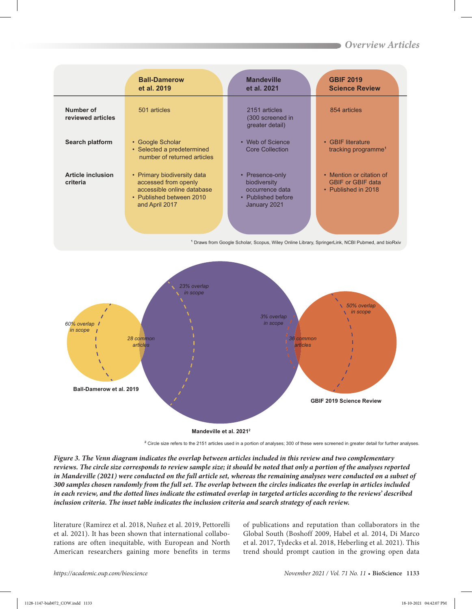|                                      | <b>Ball-Damerow</b><br>et al. 2019                                                                                              | <b>Mandeville</b><br>et al. 2021                                                         | <b>GBIF 2019</b><br><b>Science Review</b>                                   |
|--------------------------------------|---------------------------------------------------------------------------------------------------------------------------------|------------------------------------------------------------------------------------------|-----------------------------------------------------------------------------|
| Number of<br>reviewed articles       | 501 articles                                                                                                                    | 2151 articles<br>(300 screened in<br>greater detail)                                     | 854 articles                                                                |
| Search platform                      | • Google Scholar<br>• Selected a predetermined<br>number of returned articles                                                   | • Web of Science<br><b>Core Collection</b>                                               | • GBIF literature<br>tracking programme <sup>1</sup>                        |
| <b>Article inclusion</b><br>criteria | • Primary biodiversity data<br>accessed from openly<br>accessible online database<br>• Published between 2010<br>and April 2017 | • Presence-only<br>biodiversity<br>occurrence data<br>• Published before<br>January 2021 | • Mention or citation of<br><b>GBIF or GBIF data</b><br>• Published in 2018 |

<sup>1</sup> Draws from Google Scholar, Scopus, Wiley Online Library, SpringerLink, NCBI Pubmed, and bioRxiv



² Circle size refers to the 2151 articles used in a portion of analyses; 300 of these were screened in greater detail for further analyses.

*Figure 3. The Venn diagram indicates the overlap between articles included in this review and two complementary reviews. The circle size corresponds to review sample size; it should be noted that only a portion of the analyses reported in Mandeville (2021) were conducted on the full article set, whereas the remaining analyses were conducted on a subset of 300 samples chosen randomly from the full set. The overlap between the circles indicates the overlap in articles included in each review, and the dotted lines indicate the estimated overlap in targeted articles according to the reviews' described inclusion criteria. The inset table indicates the inclusion criteria and search strategy of each review.*

literature (Ramirez et al. 2018, Nuñez et al. 2019, Pettorelli et al. 2021). It has been shown that international collaborations are often inequitable, with European and North American researchers gaining more benefits in terms of publications and reputation than collaborators in the Global South (Boshoff 2009, Habel et al. 2014, Di Marco et al. 2017, Tydecks et al. 2018, Heberling et al. 2021). This trend should prompt caution in the growing open data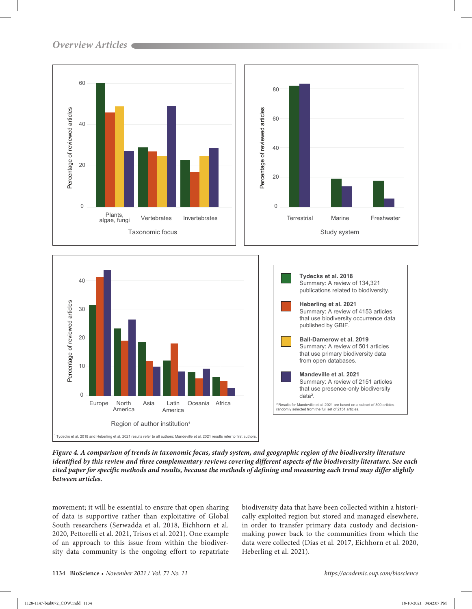



*Figure 4. A comparison of trends in taxonomic focus, study system, and geographic region of the biodiversity literature identified by this review and three complementary reviews covering different aspects of the biodiversity literature. See each cited paper for specific methods and results, because the methods of defining and measuring each trend may differ slightly between articles.*

movement; it will be essential to ensure that open sharing of data is supportive rather than exploitative of Global South researchers (Serwadda et al. 2018, Eichhorn et al. 2020, Pettorelli et al. 2021, Trisos et al. 2021). One example of an approach to this issue from within the biodiversity data community is the ongoing effort to repatriate

biodiversity data that have been collected within a historically exploited region but stored and managed elsewhere, in order to transfer primary data custody and decisionmaking power back to the communities from which the data were collected (Dias et al. 2017, Eichhorn et al. 2020, Heberling et al. 2021).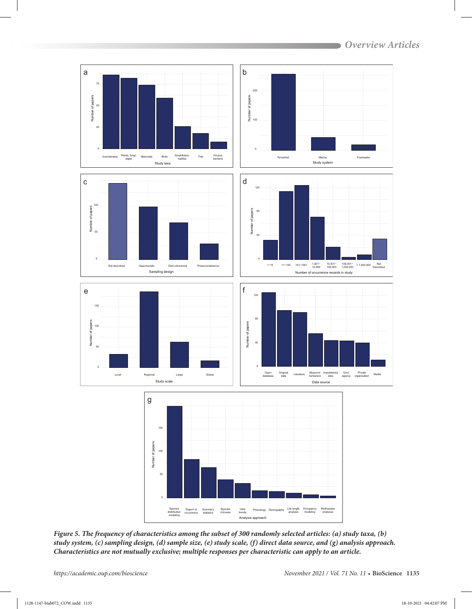

*Figure 5. The frequency of characteristics among the subset of 300 randomly selected articles: (a) study taxa, (b) study system, (c) sampling design, (d) sample size, (e) study scale, (f) direct data source, and (g) analysis approach. Characteristics are not mutually exclusive; multiple responses per characteristic can apply to an article.*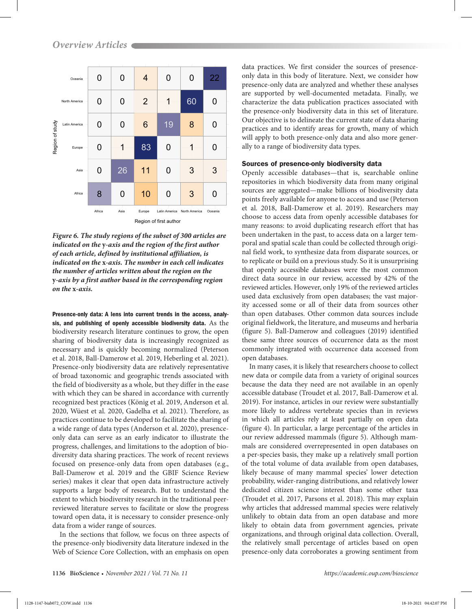

Region of first author

*Figure 6. The study regions of the subset of 300 articles are indicated on the* **y***-axis and the region of the first author of each article, defined by institutional affiliation, is indicated on the* **x***-axis. The number in each cell indicates the number of articles written about the region on the*  **y***-axis by a first author based in the corresponding region on the* **x***-axis.*

Presence-only data: A lens into current trends in the access, analysis, and publishing of openly accessible biodiversity data. As the biodiversity research literature continues to grow, the open sharing of biodiversity data is increasingly recognized as necessary and is quickly becoming normalized (Peterson et al. 2018, Ball-Damerow et al. 2019, Heberling et al. 2021). Presence-only biodiversity data are relatively representative of broad taxonomic and geographic trends associated with the field of biodiversity as a whole, but they differ in the ease with which they can be shared in accordance with currently recognized best practices (König et al. 2019, Anderson et al. 2020, Wüest et al. 2020, Gadelha et al. 2021). Therefore, as practices continue to be developed to facilitate the sharing of a wide range of data types (Anderson et al. 2020), presenceonly data can serve as an early indicator to illustrate the progress, challenges, and limitations to the adoption of biodiversity data sharing practices. The work of recent reviews focused on presence-only data from open databases (e.g., Ball-Damerow et al. 2019 and the GBIF Science Review series) makes it clear that open data infrastructure actively supports a large body of research. But to understand the extent to which biodiversity research in the traditional peerreviewed literature serves to facilitate or slow the progress toward open data, it is necessary to consider presence-only data from a wider range of sources.

In the sections that follow, we focus on three aspects of the presence-only biodiversity data literature indexed in the Web of Science Core Collection, with an emphasis on open

data practices. We first consider the sources of presenceonly data in this body of literature. Next, we consider how presence-only data are analyzed and whether these analyses are supported by well-documented metadata. Finally, we characterize the data publication practices associated with the presence-only biodiversity data in this set of literature. Our objective is to delineate the current state of data sharing practices and to identify areas for growth, many of which will apply to both presence-only data and also more generally to a range of biodiversity data types.

#### Sources of presence-only biodiversity data

Openly accessible databases—that is, searchable online repositories in which biodiversity data from many original sources are aggregated—make billions of biodiversity data points freely available for anyone to access and use (Peterson et al. 2018, Ball-Damerow et al. 2019). Researchers may choose to access data from openly accessible databases for many reasons: to avoid duplicating research effort that has been undertaken in the past, to access data on a larger temporal and spatial scale than could be collected through original field work, to synthesize data from disparate sources, or to replicate or build on a previous study. So it is unsurprising that openly accessible databases were the most common direct data source in our review, accessed by 42% of the reviewed articles. However, only 19% of the reviewed articles used data exclusively from open databases; the vast majority accessed some or all of their data from sources other than open databases. Other common data sources include original fieldwork, the literature, and museums and herbaria (figure 5). Ball-Damerow and colleagues (2019) identified these same three sources of occurrence data as the most commonly integrated with occurrence data accessed from open databases.

In many cases, it is likely that researchers choose to collect new data or compile data from a variety of original sources because the data they need are not available in an openly accessible database (Troudet et al. 2017, Ball-Damerow et al. 2019). For instance, articles in our review were substantially more likely to address vertebrate species than in reviews in which all articles rely at least partially on open data (figure 4). In particular, a large percentage of the articles in our review addressed mammals (figure 5). Although mammals are considered overrepresented in open databases on a per-species basis, they make up a relatively small portion of the total volume of data available from open databases, likely because of many mammal species' lower detection probability, wider-ranging distributions, and relatively lower dedicated citizen science interest than some other taxa (Troudet et al. 2017, Parsons et al. 2018). This may explain why articles that addressed mammal species were relatively unlikely to obtain data from an open database and more likely to obtain data from government agencies, private organizations, and through original data collection. Overall, the relatively small percentage of articles based on open presence-only data corroborates a growing sentiment from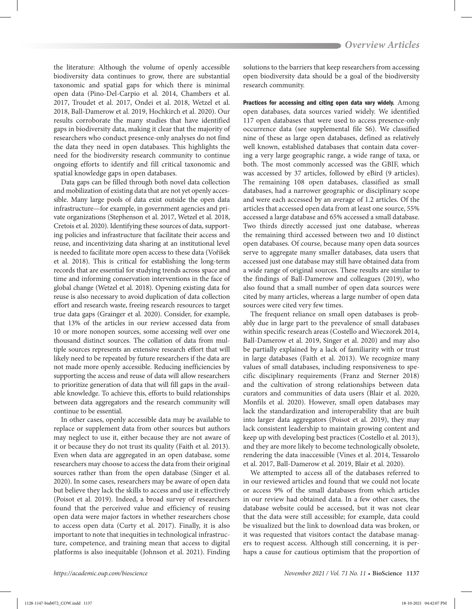the literature: Although the volume of openly accessible biodiversity data continues to grow, there are substantial taxonomic and spatial gaps for which there is minimal open data (Pino-Del-Carpio et al. 2014, Chambers et al. 2017, Troudet et al. 2017, Ondei et al. 2018, Wetzel et al. 2018, Ball-Damerow et al. 2019, Hochkirch et al. 2020). Our results corroborate the many studies that have identified gaps in biodiversity data, making it clear that the majority of researchers who conduct presence-only analyses do not find the data they need in open databases. This highlights the need for the biodiversity research community to continue ongoing efforts to identify and fill critical taxonomic and spatial knowledge gaps in open databases.

Data gaps can be filled through both novel data collection and mobilization of existing data that are not yet openly accessible. Many large pools of data exist outside the open data infrastructure—for example, in government agencies and private organizations (Stephenson et al. 2017, Wetzel et al. 2018, Cretois et al. 2020). Identifying these sources of data, supporting policies and infrastructure that facilitate their access and reuse, and incentivizing data sharing at an institutional level is needed to facilitate more open access to these data (Voříšek et al. 2018). This is critical for establishing the long-term records that are essential for studying trends across space and time and informing conservation interventions in the face of global change (Wetzel et al. 2018). Opening existing data for reuse is also necessary to avoid duplication of data collection effort and research waste, freeing research resources to target true data gaps (Grainger et al. 2020). Consider, for example, that 13% of the articles in our review accessed data from 10 or more nonopen sources, some accessing well over one thousand distinct sources. The collation of data from multiple sources represents an extensive research effort that will likely need to be repeated by future researchers if the data are not made more openly accessible. Reducing inefficiencies by supporting the access and reuse of data will allow researchers to prioritize generation of data that will fill gaps in the available knowledge. To achieve this, efforts to build relationships between data aggregators and the research community will continue to be essential.

In other cases, openly accessible data may be available to replace or supplement data from other sources but authors may neglect to use it, either because they are not aware of it or because they do not trust its quality (Faith et al. 2013). Even when data are aggregated in an open database, some researchers may choose to access the data from their original sources rather than from the open database (Singer et al. 2020). In some cases, researchers may be aware of open data but believe they lack the skills to access and use it effectively (Poisot et al. 2019). Indeed, a broad survey of researchers found that the perceived value and efficiency of reusing open data were major factors in whether researchers chose to access open data (Curty et al. 2017). Finally, it is also important to note that inequities in technological infrastructure, competence, and training mean that access to digital platforms is also inequitable (Johnson et al. 2021). Finding

solutions to the barriers that keep researchers from accessing open biodiversity data should be a goal of the biodiversity research community.

Practices for accessing and citing open data vary widely. Among open databases, data sources varied widely. We identified 117 open databases that were used to access presence-only occurrence data (see supplemental file S6). We classified nine of these as large open databases, defined as relatively well known, established databases that contain data covering a very large geographic range, a wide range of taxa, or both. The most commonly accessed was the GBIF, which was accessed by 37 articles, followed by eBird (9 articles). The remaining 108 open databases, classified as small databases, had a narrower geographic or disciplinary scope and were each accessed by an average of 1.2 articles. Of the articles that accessed open data from at least one source, 55% accessed a large database and 65% accessed a small database. Two thirds directly accessed just one database, whereas the remaining third accessed between two and 10 distinct open databases. Of course, because many open data sources serve to aggregate many smaller databases, data users that accessed just one database may still have obtained data from a wide range of original sources. These results are similar to the findings of Ball-Damerow and colleagues (2019), who also found that a small number of open data sources were cited by many articles, whereas a large number of open data sources were cited very few times.

The frequent reliance on small open databases is probably due in large part to the prevalence of small databases within specific research areas (Costello and Wieczorek 2014, Ball-Damerow et al. 2019, Singer et al. 2020) and may also be partially explained by a lack of familiarity with or trust in large databases (Faith et al. 2013). We recognize many values of small databases, including responsiveness to specific disciplinary requirements (Franz and Sterner 2018) and the cultivation of strong relationships between data curators and communities of data users (Blair et al. 2020, Monfils et al. 2020). However, small open databases may lack the standardization and interoperability that are built into larger data aggregators (Poisot et al. 2019), they may lack consistent leadership to maintain growing content and keep up with developing best practices (Costello et al. 2013), and they are more likely to become technologically obsolete, rendering the data inaccessible (Vines et al. 2014, Tessarolo et al. 2017, Ball-Damerow et al. 2019, Blair et al. 2020).

We attempted to access all of the databases referred to in our reviewed articles and found that we could not locate or access 9% of the small databases from which articles in our review had obtained data. In a few other cases, the database website could be accessed, but it was not clear that the data were still accessible; for example, data could be visualized but the link to download data was broken, or it was requested that visitors contact the database managers to request access. Although still concerning, it is perhaps a cause for cautious optimism that the proportion of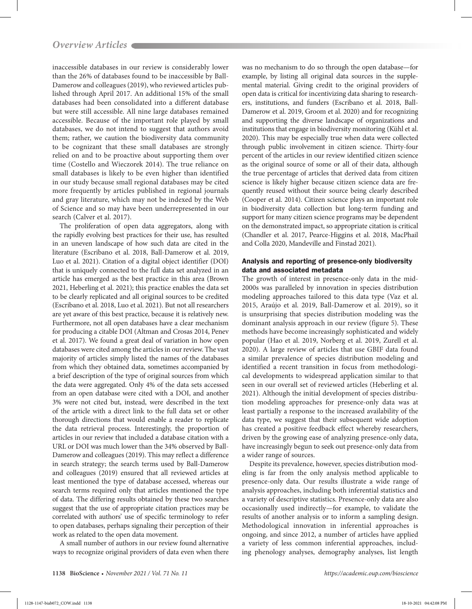inaccessible databases in our review is considerably lower than the 26% of databases found to be inaccessible by Ball-Damerow and colleagues (2019), who reviewed articles published through April 2017. An additional 15% of the small databases had been consolidated into a different database but were still accessible. All nine large databases remained accessible. Because of the important role played by small databases, we do not intend to suggest that authors avoid them; rather, we caution the biodiversity data community to be cognizant that these small databases are strongly relied on and to be proactive about supporting them over time (Costello and Wieczorek 2014). The true reliance on small databases is likely to be even higher than identified in our study because small regional databases may be cited more frequently by articles published in regional journals and gray literature, which may not be indexed by the Web of Science and so may have been underrepresented in our search (Calver et al. 2017).

The proliferation of open data aggregators, along with the rapidly evolving best practices for their use, has resulted in an uneven landscape of how such data are cited in the literature (Escribano et al. 2018, Ball-Damerow et al. 2019, Luo et al. 2021). Citation of a digital object identifier (DOI) that is uniquely connected to the full data set analyzed in an article has emerged as the best practice in this area (Brown 2021, Heberling et al. 2021); this practice enables the data set to be clearly replicated and all original sources to be credited (Escribano et al. 2018, Luo et al. 2021). But not all researchers are yet aware of this best practice, because it is relatively new. Furthermore, not all open databases have a clear mechanism for producing a citable DOI (Altman and Crosas 2014, Penev et al. 2017). We found a great deal of variation in how open databases were cited among the articles in our review. The vast majority of articles simply listed the names of the databases from which they obtained data, sometimes accompanied by a brief description of the type of original sources from which the data were aggregated. Only 4% of the data sets accessed from an open database were cited with a DOI, and another 3% were not cited but, instead, were described in the text of the article with a direct link to the full data set or other thorough directions that would enable a reader to replicate the data retrieval process. Interestingly, the proportion of articles in our review that included a database citation with a URL or DOI was much lower than the 34% observed by Ball-Damerow and colleagues (2019). This may reflect a difference in search strategy; the search terms used by Ball-Damerow and colleagues (2019) ensured that all reviewed articles at least mentioned the type of database accessed, whereas our search terms required only that articles mentioned the type of data. The differing results obtained by these two searches suggest that the use of appropriate citation practices may be correlated with authors' use of specific terminology to refer to open databases, perhaps signaling their perception of their work as related to the open data movement.

A small number of authors in our review found alternative ways to recognize original providers of data even when there was no mechanism to do so through the open database—for example, by listing all original data sources in the supplemental material. Giving credit to the original providers of open data is critical for incentivizing data sharing to researchers, institutions, and funders (Escribano et al. 2018, Ball-Damerow et al. 2019, Groom et al. 2020) and for recognizing and supporting the diverse landscape of organizations and institutions that engage in biodiversity monitoring (Kühl et al. 2020). This may be especially true when data were collected through public involvement in citizen science. Thirty-four percent of the articles in our review identified citizen science as the original source of some or all of their data, although the true percentage of articles that derived data from citizen science is likely higher because citizen science data are frequently reused without their source being clearly described (Cooper et al. 2014). Citizen science plays an important role in biodiversity data collection but long-term funding and support for many citizen science programs may be dependent on the demonstrated impact, so appropriate citation is critical (Chandler et al. 2017, Pearce-Higgins et al. 2018, MacPhail and Colla 2020, Mandeville and Finstad 2021).

## Analysis and reporting of presence-only biodiversity data and associated metadata

The growth of interest in presence-only data in the mid-2000s was paralleled by innovation in species distribution modeling approaches tailored to this data type (Vaz et al. 2015, Araújo et al. 2019, Ball-Damerow et al. 2019), so it is unsurprising that species distribution modeling was the dominant analysis approach in our review (figure 5). These methods have become increasingly sophisticated and widely popular (Hao et al. 2019, Norberg et al. 2019, Zurell et al. 2020). A large review of articles that use GBIF data found a similar prevalence of species distribution modeling and identified a recent transition in focus from methodological developments to widespread application similar to that seen in our overall set of reviewed articles (Heberling et al. 2021). Although the initial development of species distribution modeling approaches for presence-only data was at least partially a response to the increased availability of the data type, we suggest that their subsequent wide adoption has created a positive feedback effect whereby researchers, driven by the growing ease of analyzing presence-only data, have increasingly begun to seek out presence-only data from a wider range of sources.

Despite its prevalence, however, species distribution modeling is far from the only analysis method applicable to presence-only data. Our results illustrate a wide range of analysis approaches, including both inferential statistics and a variety of descriptive statistics. Presence-only data are also occasionally used indirectly—for example, to validate the results of another analysis or to inform a sampling design. Methodological innovation in inferential approaches is ongoing, and since 2012, a number of articles have applied a variety of less common inferential approaches, including phenology analyses, demography analyses, list length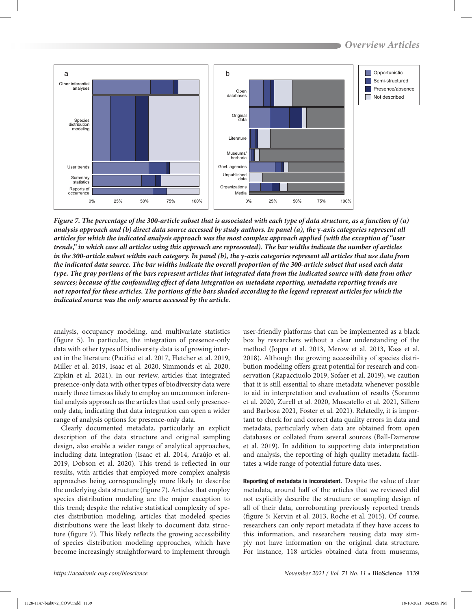

*Figure 7. The percentage of the 300-article subset that is associated with each type of data structure, as a function of (a) analysis approach and (b) direct data source accessed by study authors. In panel (a), the y-axis categories represent all articles for which the indicated analysis approach was the most complex approach applied (with the exception of "user trends," in which case all articles using this approach are represented). The bar widths indicate the number of articles in the 300-article subset within each category. In panel (b), the y-axis categories represent all articles that use data from the indicated data source. The bar widths indicate the overall proportion of the 300-article subset that used each data type. The gray portions of the bars represent articles that integrated data from the indicated source with data from other sources; because of the confounding effect of data integration on metadata reporting, metadata reporting trends are not reported for these articles. The portions of the bars shaded according to the legend represent articles for which the indicated source was the only source accessed by the article.*

analysis, occupancy modeling, and multivariate statistics (figure 5). In particular, the integration of presence-only data with other types of biodiversity data is of growing interest in the literature (Pacifici et al. 2017, Fletcher et al. 2019, Miller et al. 2019, Isaac et al. 2020, Simmonds et al. 2020, Zipkin et al. 2021). In our review, articles that integrated presence-only data with other types of biodiversity data were nearly three times as likely to employ an uncommon inferential analysis approach as the articles that used only presenceonly data, indicating that data integration can open a wider range of analysis options for presence-only data.

Clearly documented metadata, particularly an explicit description of the data structure and original sampling design, also enable a wider range of analytical approaches, including data integration (Isaac et al. 2014, Araújo et al. 2019, Dobson et al. 2020). This trend is reflected in our results, with articles that employed more complex analysis approaches being correspondingly more likely to describe the underlying data structure (figure 7). Articles that employ species distribution modeling are the major exception to this trend; despite the relative statistical complexity of species distribution modeling, articles that modeled species distributions were the least likely to document data structure (figure 7). This likely reflects the growing accessibility of species distribution modeling approaches, which have become increasingly straightforward to implement through

user-friendly platforms that can be implemented as a black box by researchers without a clear understanding of the method (Joppa et al. 2013, Merow et al. 2013, Kass et al. 2018). Although the growing accessibility of species distribution modeling offers great potential for research and conservation (Rapacciuolo 2019, Sofaer et al. 2019), we caution that it is still essential to share metadata whenever possible to aid in interpretation and evaluation of results (Soranno et al. 2020, Zurell et al. 2020, Muscatello et al. 2021, Sillero and Barbosa 2021, Foster et al. 2021). Relatedly, it is important to check for and correct data quality errors in data and metadata, particularly when data are obtained from open databases or collated from several sources (Ball-Damerow et al. 2019). In addition to supporting data interpretation and analysis, the reporting of high quality metadata facilitates a wide range of potential future data uses.

Reporting of metadata is inconsistent. Despite the value of clear metadata, around half of the articles that we reviewed did not explicitly describe the structure or sampling design of all of their data, corroborating previously reported trends (figure 5; Kervin et al. 2013, Roche et al. 2015). Of course, researchers can only report metadata if they have access to this information, and researchers reusing data may simply not have information on the original data structure. For instance, 118 articles obtained data from museums,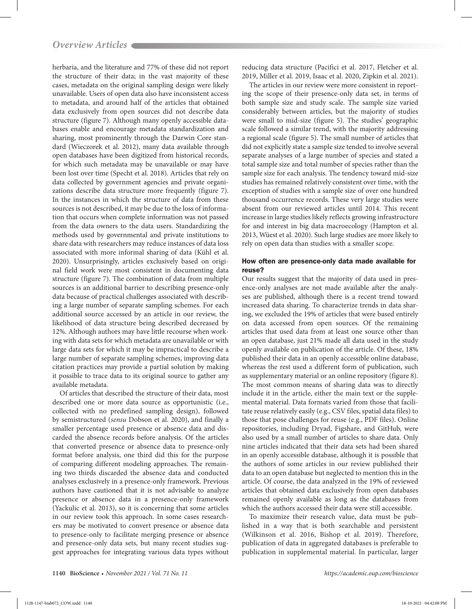herbaria, and the literature and 77% of these did not report the structure of their data; in the vast majority of these cases, metadata on the original sampling design were likely unavailable. Users of open data also have inconsistent access to metadata, and around half of the articles that obtained data exclusively from open sources did not describe data structure (figure 7). Although many openly accessible databases enable and encourage metadata standardization and sharing, most prominently through the Darwin Core standard (Wieczorek et al. 2012), many data available through open databases have been digitized from historical records, for which such metadata may be unavailable or may have been lost over time (Specht et al. 2018). Articles that rely on data collected by government agencies and private organizations describe data structure more frequently (figure 7). In the instances in which the structure of data from these sources is not described, it may be due to the loss of information that occurs when complete information was not passed from the data owners to the data users. Standardizing the methods used by governmental and private institutions to share data with researchers may reduce instances of data loss associated with more informal sharing of data (Kühl et al. 2020). Unsurprisingly, articles exclusively based on original field work were most consistent in documenting data structure (figure 7). The combination of data from multiple sources is an additional barrier to describing presence-only data because of practical challenges associated with describing a large number of separate sampling schemes. For each additional source accessed by an article in our review, the likelihood of data structure being described decreased by 12%. Although authors may have little recourse when working with data sets for which metadata are unavailable or with large data sets for which it may be impractical to describe a large number of separate sampling schemes, improving data citation practices may provide a partial solution by making it possible to trace data to its original source to gather any available metadata.

Of articles that described the structure of their data, most described one or more data source as opportunistic (i.e., collected with no predefined sampling design), followed by semistructured (*sensu* Dobson et al. 2020), and finally a smaller percentage used presence or absence data and discarded the absence records before analysis. Of the articles that converted presence or absence data to presence-only format before analysis, one third did this for the purpose of comparing different modeling approaches. The remaining two thirds discarded the absence data and conducted analyses exclusively in a presence-only framework. Previous authors have cautioned that it is not advisable to analyze presence or absence data in a presence-only framework (Yackulic et al. 2013), so it is concerning that some articles in our review took this approach. In some cases researchers may be motivated to convert presence or absence data to presence-only to facilitate merging presence or absence and presence-only data sets, but many recent studies suggest approaches for integrating various data types without

reducing data structure (Pacifici et al. 2017, Fletcher et al. 2019, Miller et al. 2019, Isaac et al. 2020, Zipkin et al. 2021).

The articles in our review were more consistent in reporting the scope of their presence-only data set, in terms of both sample size and study scale. The sample size varied considerably between articles, but the majority of studies were small to mid-size (figure 5). The studies' geographic scale followed a similar trend, with the majority addressing a regional scale (figure 5). The small number of articles that did not explicitly state a sample size tended to involve several separate analyses of a large number of species and stated a total sample size and total number of species rather than the sample size for each analysis. The tendency toward mid-size studies has remained relatively consistent over time, with the exception of studies with a sample size of over one hundred thousand occurrence records. These very large studies were absent from our reviewed articles until 2014. This recent increase in large studies likely reflects growing infrastructure for and interest in big data macroecology (Hampton et al. 2013, Wüest et al. 2020). Such large studies are more likely to rely on open data than studies with a smaller scope.

# How often are presence-only data made available for reuse?

Our results suggest that the majority of data used in presence-only analyses are not made available after the analyses are published, although there is a recent trend toward increased data sharing. To characterize trends in data sharing, we excluded the 19% of articles that were based entirely on data accessed from open sources. Of the remaining articles that used data from at least one source other than an open database, just 21% made all data used in the study openly available on publication of the article. Of these, 18% published their data in an openly accessible online database, whereas the rest used a different form of publication, such as supplementary material or an online repository (figure 8). The most common means of sharing data was to directly include it in the article, either the main text or the supplemental material. Data formats varied from those that facilitate reuse relatively easily (e.g., CSV files, spatial data files) to those that pose challenges for reuse (e.g., PDF files). Online repositories, including Dryad, Figshare, and GitHub, were also used by a small number of articles to share data. Only nine articles indicated that their data sets had been shared in an openly accessible database, although it is possible that the authors of some articles in our review published their data to an open database but neglected to mention this in the article. Of course, the data analyzed in the 19% of reviewed articles that obtained data exclusively from open databases remained openly available as long as the databases from which the authors accessed their data were still accessible.

To maximize their research value, data must be published in a way that is both searchable and persistent (Wilkinson et al. 2016, Bishop et al. 2019). Therefore, publication of data in aggregated databases is preferable to publication in supplemental material. In particular, larger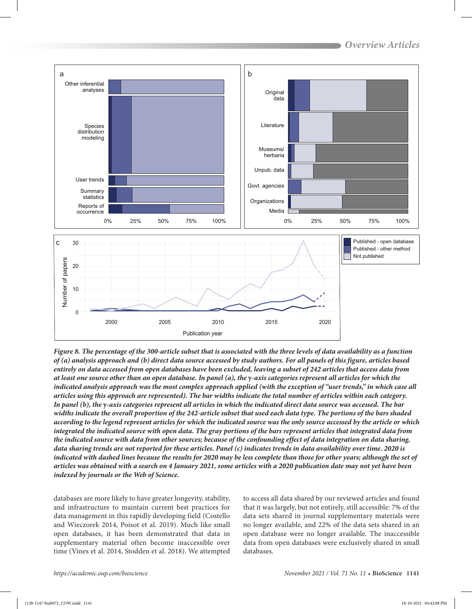

*Figure 8. The percentage of the 300-article subset that is associated with the three levels of data availability as a function of (a) analysis approach and (b) direct data source accessed by study authors. For all panels of this figure, articles based entirely on data accessed from open databases have been excluded, leaving a subset of 242 articles that access data from at least one source other than an open database. In panel (a), the* **y***-axis categories represent all articles for which the indicated analysis approach was the most complex approach applied (with the exception of "user trends," in which case all articles using this approach are represented). The bar widths indicate the total number of articles within each category. In panel (b), the* **y***-axis categories represent all articles in which the indicated direct data source was accessed. The bar widths indicate the overall proportion of the 242-article subset that used each data type. The portions of the bars shaded according to the legend represent articles for which the indicated source was the only source accessed by the article or which integrated the indicated source with open data. The gray portions of the bars represent articles that integrated data from the indicated source with data from other sources; because of the confounding effect of data integration on data sharing, data sharing trends are not reported for these articles. Panel (c) indicates trends in data availability over time. 2020 is indicated with dashed lines because the results for 2020 may be less complete than those for other years; although the set of articles was obtained with a search on 4 January 2021, some articles with a 2020 publication date may not yet have been indexed by journals or the Web of Science.*

databases are more likely to have greater longevity, stability, and infrastructure to maintain current best practices for data management in this rapidly developing field (Costello and Wieczorek 2014, Poisot et al. 2019). Much like small open databases, it has been demonstrated that data in supplementary material often become inaccessible over time (Vines et al. 2014, Stodden et al. 2018). We attempted

to access all data shared by our reviewed articles and found that it was largely, but not entirely, still accessible: 7% of the data sets shared in journal supplementary materials were no longer available, and 22% of the data sets shared in an open database were no longer available. The inaccessible data from open databases were exclusively shared in small databases.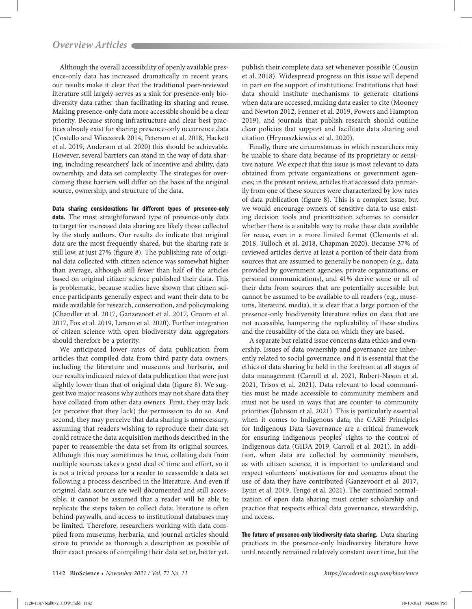Although the overall accessibility of openly available presence-only data has increased dramatically in recent years, our results make it clear that the traditional peer-reviewed literature still largely serves as a sink for presence-only biodiversity data rather than facilitating its sharing and reuse. Making presence-only data more accessible should be a clear priority. Because strong infrastructure and clear best practices already exist for sharing presence-only occurrence data (Costello and Wieczorek 2014, Peterson et al. 2018, Hackett et al. 2019, Anderson et al. 2020) this should be achievable. However, several barriers can stand in the way of data sharing, including researchers' lack of incentive and ability, data ownership, and data set complexity. The strategies for overcoming these barriers will differ on the basis of the original source, ownership, and structure of the data.

Data sharing considerations for different types of presence-only data. The most straightforward type of presence-only data to target for increased data sharing are likely those collected by the study authors. Our results do indicate that original data are the most frequently shared, but the sharing rate is still low, at just 27% (figure 8). The publishing rate of original data collected with citizen science was somewhat higher than average, although still fewer than half of the articles based on original citizen science published their data. This is problematic, because studies have shown that citizen science participants generally expect and want their data to be made available for research, conservation, and policymaking (Chandler et al. 2017, Ganzevoort et al. 2017, Groom et al. 2017, Fox et al. 2019, Larson et al. 2020). Further integration of citizen science with open biodiversity data aggregators should therefore be a priority.

We anticipated lower rates of data publication from articles that compiled data from third party data owners, including the literature and museums and herbaria, and our results indicated rates of data publication that were just slightly lower than that of original data (figure 8). We suggest two major reasons why authors may not share data they have collated from other data owners. First, they may lack (or perceive that they lack) the permission to do so. And second, they may perceive that data sharing is unnecessary, assuming that readers wishing to reproduce their data set could retrace the data acquisition methods described in the paper to reassemble the data set from its original sources. Although this may sometimes be true, collating data from multiple sources takes a great deal of time and effort, so it is not a trivial process for a reader to reassemble a data set following a process described in the literature. And even if original data sources are well documented and still accessible, it cannot be assumed that a reader will be able to replicate the steps taken to collect data; literature is often behind paywalls, and access to institutional databases may be limited. Therefore, researchers working with data compiled from museums, herbaria, and journal articles should strive to provide as thorough a description as possible of their exact process of compiling their data set or, better yet,

publish their complete data set whenever possible (Cousijn et al. 2018). Widespread progress on this issue will depend in part on the support of institutions: Institutions that host data should institute mechanisms to generate citations when data are accessed, making data easier to cite (Mooney and Newton 2012, Fenner et al. 2019, Powers and Hampton 2019), and journals that publish research should outline clear policies that support and facilitate data sharing and citation (Hrynaszkiewicz et al. 2020).

Finally, there are circumstances in which researchers may be unable to share data because of its proprietary or sensitive nature. We expect that this issue is most relevant to data obtained from private organizations or government agencies; in the present review, articles that accessed data primarily from one of these sources were characterized by low rates of data publication (figure 8). This is a complex issue, but we would encourage owners of sensitive data to use existing decision tools and prioritization schemes to consider whether there is a suitable way to make these data available for reuse, even in a more limited format (Clements et al. 2018, Tulloch et al. 2018, Chapman 2020). Because 37% of reviewed articles derive at least a portion of their data from sources that are assumed to generally be nonopen (e.g., data provided by government agencies, private organizations, or personal communications), and 41% derive some or all of their data from sources that are potentially accessible but cannot be assumed to be available to all readers (e.g., museums, literature, media), it is clear that a large portion of the presence-only biodiversity literature relies on data that are not accessible, hampering the replicability of these studies and the reusability of the data on which they are based.

A separate but related issue concerns data ethics and ownership. Issues of data ownership and governance are inherently related to social governance, and it is essential that the ethics of data sharing be held in the forefront at all stages of data management (Carroll et al. 2021, Rubert-Nason et al. 2021, Trisos et al. 2021). Data relevant to local communities must be made accessible to community members and must not be used in ways that are counter to community priorities (Johnson et al. 2021). This is particularly essential when it comes to Indigenous data; the CARE Principles for Indigenous Data Governance are a critical framework for ensuring Indigenous peoples' rights to the control of Indigenous data (GIDA 2019, Carroll et al. 2021). In addition, when data are collected by community members, as with citizen science, it is important to understand and respect volunteers' motivations for and concerns about the use of data they have contributed (Ganzevoort et al. 2017, Lynn et al. 2019, Tengö et al. 2021). The continued normalization of open data sharing must center scholarship and practice that respects ethical data governance, stewardship, and access.

The future of presence-only biodiversity data sharing. Data sharing practices in the presence-only biodiversity literature have until recently remained relatively constant over time, but the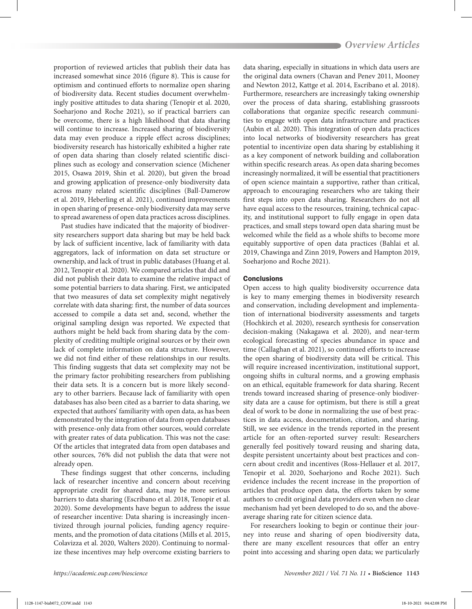proportion of reviewed articles that publish their data has increased somewhat since 2016 (figure 8). This is cause for optimism and continued efforts to normalize open sharing of biodiversity data. Recent studies document overwhelmingly positive attitudes to data sharing (Tenopir et al. 2020, Soeharjono and Roche 2021), so if practical barriers can be overcome, there is a high likelihood that data sharing will continue to increase. Increased sharing of biodiversity data may even produce a ripple effect across disciplines; biodiversity research has historically exhibited a higher rate of open data sharing than closely related scientific disciplines such as ecology and conservation science (Michener 2015, Osawa 2019, Shin et al. 2020), but given the broad and growing application of presence-only biodiversity data across many related scientific disciplines (Ball-Damerow et al. 2019, Heberling et al. 2021), continued improvements in open sharing of presence-only biodiversity data may serve to spread awareness of open data practices across disciplines.

Past studies have indicated that the majority of biodiversity researchers support data sharing but may be held back by lack of sufficient incentive, lack of familiarity with data aggregators, lack of information on data set structure or ownership, and lack of trust in public databases (Huang et al. 2012, Tenopir et al. 2020). We compared articles that did and did not publish their data to examine the relative impact of some potential barriers to data sharing. First, we anticipated that two measures of data set complexity might negatively correlate with data sharing: first, the number of data sources accessed to compile a data set and, second, whether the original sampling design was reported. We expected that authors might be held back from sharing data by the complexity of crediting multiple original sources or by their own lack of complete information on data structure. However, we did not find either of these relationships in our results. This finding suggests that data set complexity may not be the primary factor prohibiting researchers from publishing their data sets. It is a concern but is more likely secondary to other barriers. Because lack of familiarity with open databases has also been cited as a barrier to data sharing, we expected that authors' familiarity with open data, as has been demonstrated by the integration of data from open databases with presence-only data from other sources, would correlate with greater rates of data publication. This was not the case: Of the articles that integrated data from open databases and other sources, 76% did not publish the data that were not already open.

These findings suggest that other concerns, including lack of researcher incentive and concern about receiving appropriate credit for shared data, may be more serious barriers to data sharing (Escribano et al. 2018, Tenopir et al. 2020). Some developments have begun to address the issue of researcher incentive: Data sharing is increasingly incentivized through journal policies, funding agency requirements, and the promotion of data citations (Mills et al. 2015, Colavizza et al. 2020, Walters 2020). Continuing to normalize these incentives may help overcome existing barriers to

data sharing, especially in situations in which data users are the original data owners (Chavan and Penev 2011, Mooney and Newton 2012, Kattge et al. 2014, Escribano et al. 2018). Furthermore, researchers are increasingly taking ownership over the process of data sharing, establishing grassroots collaborations that organize specific research communities to engage with open data infrastructure and practices (Aubin et al. 2020). This integration of open data practices into local networks of biodiversity researchers has great potential to incentivize open data sharing by establishing it as a key component of network building and collaboration within specific research areas. As open data sharing becomes increasingly normalized, it will be essential that practitioners of open science maintain a supportive, rather than critical, approach to encouraging researchers who are taking their first steps into open data sharing. Researchers do not all have equal access to the resources, training, technical capacity, and institutional support to fully engage in open data practices, and small steps toward open data sharing must be welcomed while the field as a whole shifts to become more equitably supportive of open data practices (Bahlai et al. 2019, Chawinga and Zinn 2019, Powers and Hampton 2019, Soeharjono and Roche 2021).

### **Conclusions**

Open access to high quality biodiversity occurrence data is key to many emerging themes in biodiversity research and conservation, including development and implementation of international biodiversity assessments and targets (Hochkirch et al. 2020), research synthesis for conservation decision-making (Nakagawa et al. 2020), and near-term ecological forecasting of species abundance in space and time (Callaghan et al. 2021), so continued efforts to increase the open sharing of biodiversity data will be critical. This will require increased incentivization, institutional support, ongoing shifts in cultural norms, and a growing emphasis on an ethical, equitable framework for data sharing. Recent trends toward increased sharing of presence-only biodiversity data are a cause for optimism, but there is still a great deal of work to be done in normalizing the use of best practices in data access, documentation, citation, and sharing. Still, we see evidence in the trends reported in the present article for an often-reported survey result: Researchers generally feel positively toward reusing and sharing data, despite persistent uncertainty about best practices and concern about credit and incentives (Ross-Hellauer et al. 2017, Tenopir et al. 2020, Soeharjono and Roche 2021). Such evidence includes the recent increase in the proportion of articles that produce open data, the efforts taken by some authors to credit original data providers even when no clear mechanism had yet been developed to do so, and the aboveaverage sharing rate for citizen science data.

For researchers looking to begin or continue their journey into reuse and sharing of open biodiversity data, there are many excellent resources that offer an entry point into accessing and sharing open data; we particularly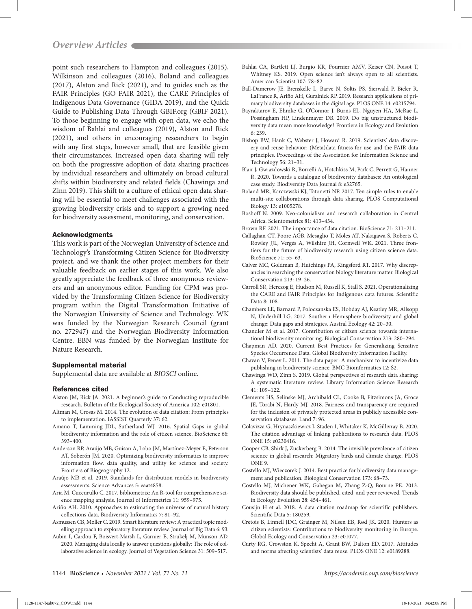point such researchers to Hampton and colleagues (2015), Wilkinson and colleagues (2016), Boland and colleagues (2017), Alston and Rick (2021), and to guides such as the FAIR Principles (GO FAIR 2021), the CARE Principles of Indigenous Data Governance (GIDA 2019), and the Quick Guide to Publishing Data Through GBIF.org (GBIF 2021). To those beginning to engage with open data, we echo the wisdom of Bahlai and colleagues (2019), Alston and Rick (2021), and others in encouraging researchers to begin with any first steps, however small, that are feasible given their circumstances. Increased open data sharing will rely on both the progressive adoption of data sharing practices by individual researchers and ultimately on broad cultural shifts within biodiversity and related fields (Chawinga and Zinn 2019). This shift to a culture of ethical open data sharing will be essential to meet challenges associated with the growing biodiversity crisis and to support a growing need for biodiversity assessment, monitoring, and conservation.

#### Acknowledgments

This work is part of the Norwegian University of Science and Technology's Transforming Citizen Science for Biodiversity project, and we thank the other project members for their valuable feedback on earlier stages of this work. We also greatly appreciate the feedback of three anonymous reviewers and an anonymous editor. Funding for CPM was provided by the Transforming Citizen Science for Biodiversity program within the Digital Transformation Initiative of the Norwegian University of Science and Technology. WK was funded by the Norwegian Research Council (grant no. 272947) and the Norwegian Biodiversity Information Centre. EBN was funded by the Norwegian Institute for Nature Research.

#### Supplemental material

Supplemental data are available at *[BIOSCI](https://academic.oup.com/bioscience/article-lookup/doi/10.1093/biosci/biab072#supplementary-data)* online.

#### References cited

- Alston JM, Rick JA. 2021. A beginner's guide to Conducting reproducible research. Bulletin of the Ecological Society of America 102: e01801.
- Altman M, Crosas M. 2014. The evolution of data citation: From principles to implementation. IASSIST Quarterly 37: 62.
- Amano T, Lamming JDL, Sutherland WJ. 2016. Spatial Gaps in global biodiversity information and the role of citizen science. BioScience 66: 393–400.
- Anderson RP, Araújo MB, Guisan A, Lobo JM, Martínez-Meyer E, Peterson AT, Soberón JM. 2020. Optimizing biodiversity informatics to improve information flow, data quality, and utility for science and society. Frontiers of Biogeography 12.
- Araújo MB et al. 2019. Standards for distribution models in biodiversity assessments. Science Advances 5: eaat4858.
- Aria M, Cuccurullo C. 2017. bibliometrix: An R-tool for comprehensive science mapping analysis. Journal of Informetrics 11: 959–975.
- Ariño AH. 2010. Approaches to estimating the universe of natural history collections data. Biodiversity Informatics 7: 81–92.
- Asmussen CB, Møller C. 2019. Smart literature review: A practical topic modelling approach to exploratory literature review. Journal of Big Data 6: 93.
- Aubin I, Cardou F, Boisvert-Marsh L, Garnier E, Strukelj M, Munson AD. 2020. Managing data locally to answer questions globally: The role of collaborative science in ecology. Journal of Vegetation Science 31: 509–517.
- Bahlai CA, Bartlett LJ, Burgio KR, Fournier AMV, Keiser CN, Poisot T, Whitney KS. 2019. Open science isn't always open to all scientists. American Scientist 107: 78–82.
- Ball-Damerow JE, Brenskelle L, Barve N, Soltis PS, Sierwald P, Bieler R, LaFrance R, Ariño AH, Guralnick RP. 2019. Research applications of primary biodiversity databases in the digital age. PLOS ONE 14: e0215794.
- Bayraktarov E, Ehmke G, O'Connor J, Burns EL, Nguyen HA, McRae L, Possingham HP, Lindenmayer DB. 2019. Do big unstructured biodiversity data mean more knowledge? Frontiers in Ecology and Evolution 6: 239.
- Bishop BW, Hank C, Webster J, Howard R. 2019. Scientists' data discovery and reuse behavior: (Meta)data fitness for use and the FAIR data principles. Proceedings of the Association for Information Science and Technology 56: 21–31.
- Blair J, Gwiazdowski R, Borrelli A, Hotchkiss M, Park C, Perrett G, Hanner R. 2020. Towards a catalogue of biodiversity databases: An ontological case study. Biodiversity Data Journal 8: e32765.
- Boland MR, Karczewski KJ, Tatonetti NP. 2017. Ten simple rules to enable multi-site collaborations through data sharing. PLOS Computational Biology 13: e1005278.
- Boshoff N. 2009. Neo-colonialism and research collaboration in Central Africa. Scientometrics 81: 413–434.
- Brown RF. 2021. The importance of data citation. BioScience 71: 211–211.
- Callaghan CT, Poore AGB, Mesaglio T, Moles AT, Nakagawa S, Roberts C, Rowley JJL, Vergés A, Wilshire JH, Cornwell WK. 2021. Three frontiers for the future of biodiversity research using citizen science data. BioScience 71: 55–63.
- Calver MC, Goldman B, Hutchings PA, Kingsford RT. 2017. Why discrepancies in searching the conservation biology literature matter. Biological Conservation 213: 19–26.
- Carroll SR, Herczog E, Hudson M, Russell K, Stall S. 2021. Operationalizing the CARE and FAIR Principles for Indigenous data futures. Scientific Data 8: 108.
- Chambers LE, Barnard P, Poloczanska ES, Hobday AJ, Keatley MR, Allsopp N, Underhill LG. 2017. Southern Hemisphere biodiversity and global change: Data gaps and strategies. Austral Ecology 42: 20–30.
- Chandler M et al. 2017. Contribution of citizen science towards international biodiversity monitoring. Biological Conservation 213: 280–294.
- Chapman AD. 2020. Current Best Practices for Generalizing Sensitive Species Occurrence Data. Global Biodiversity Information Facility.
- Chavan V, Penev L. 2011. The data paper: A mechanism to incentivize data publishing in biodiversity science. BMC Bioinformatics 12: S2.
- Chawinga WD, Zinn S. 2019. Global perspectives of research data sharing: A systematic literature review. Library Information Science Research 41: 109–122.
- Clements HS, Selinske MJ, Archibald CL, Cooke B, Fitzsimons JA, Groce JE, Torabi N, Hardy MJ. 2018. Fairness and transparency are required for the inclusion of privately protected areas in publicly accessible conservation databases. Land 7: 96.
- Colavizza G, Hrynaszkiewicz I, Staden I, Whitaker K, McGillivray B. 2020. The citation advantage of linking publications to research data. PLOS ONE 15: e0230416.
- Cooper CB, Shirk J, Zuckerberg B. 2014. The invisible prevalence of citizen science in global research: Migratory birds and climate change. PLOS ONE 9.
- Costello MJ, Wieczorek J. 2014. Best practice for biodiversity data management and publication. Biological Conservation 173: 68–73.
- Costello MJ, Michener WK, Gahegan M, Zhang Z-Q, Bourne PE. 2013. Biodiversity data should be published, cited, and peer reviewed. Trends in Ecology Evolution 28: 454–461.
- Cousijn H et al. 2018. A data citation roadmap for scientific publishers. Scientific Data 5: 180259.
- Cretois B, Linnell JDC, Grainger M, Nilsen EB, Rød JK. 2020. Hunters as citizen scientists: Contributions to biodiversity monitoring in Europe. Global Ecology and Conservation 23: e01077.
- Curty RG, Crowston K, Specht A, Grant BW, Dalton ED. 2017. Attitudes and norms affecting scientists' data reuse. PLOS ONE 12: e0189288.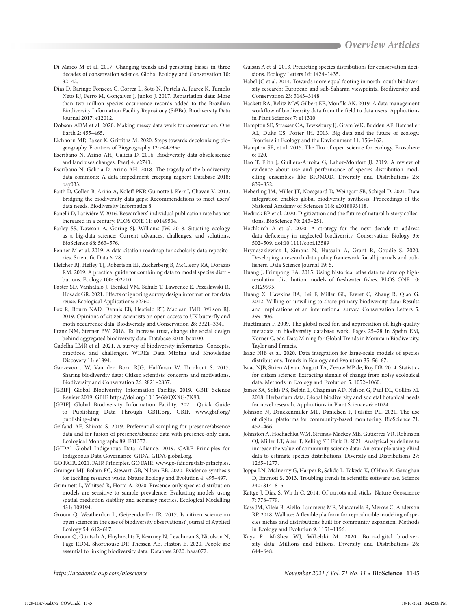- Di Marco M et al. 2017. Changing trends and persisting biases in three decades of conservation science. Global Ecology and Conservation 10:  $32 - 42$
- Dias D, Baringo Fonseca C, Correa L, Soto N, Portela A, Juarez K, Tumolo Neto RJ, Ferro M, Gonçalves J, Junior J. 2017. Repatriation data: More than two million species occurrence records added to the Brazilian Biodiversity Information Facility Repository (SiBBr). Biodiversity Data Journal 2017: e12012.
- Dobson ADM et al. 2020. Making messy data work for conservation. One Earth 2: 455–465.
- Eichhorn MP, Baker K, Griffiths M. 2020. Steps towards decolonising biogeography. Frontiers of Biogeography 12: e44795e.
- Escribano N, Ariño AH, Galicia D. 2016. Biodiversity data obsolescence and land uses changes. PeerJ 4: e2743.
- Escribano N, Galicia D, Ariño AH. 2018. The tragedy of the biodiversity data commons: A data impediment creeping nigher? Database 2018: bay033.
- Faith D, Collen B, Ariño A, Koleff PKP, Guinotte J, Kerr J, Chavan V. 2013. Bridging the biodiversity data gaps: Recommendations to meet users' data needs. Biodiversity Informatics 8.
- Fanelli D, Larivière V. 2016. Researchers' individual publication rate has not increased in a century. PLOS ONE 11: e0149504.
- Farley SS, Dawson A, Goring SJ, Williams JW. 2018. Situating ecology as a big-data science: Current advances, challenges, and solutions. BioScience 68: 563–576.
- Fenner M et al. 2019. A data citation roadmap for scholarly data repositories. Scientific Data 6: 28.
- Fletcher RJ, Hefley TJ, Robertson EP, Zuckerberg B, McCleery RA, Dorazio RM. 2019. A practical guide for combining data to model species distributions. Ecology 100: e02710.
- Foster SD, Vanhatalo J, Trenkel VM, Schulz T, Lawrence E, Przeslawski R, Hosack GR. 2021. Effects of ignoring survey design information for data reuse. Ecological Applications: e2360.
- Fox R, Bourn NAD, Dennis EB, Heafield RT, Maclean IMD, Wilson RJ. 2019. Opinions of citizen scientists on open access to UK butterfly and moth occurrence data. Biodiversity and Conservation 28: 3321–3341.
- Franz NM, Sterner BW. 2018. To increase trust, change the social design behind aggregated biodiversity data. Database 2018: bax100.
- Gadelha LMR et al. 2021. A survey of biodiversity informatics: Concepts, practices, and challenges. WIREs Data Mining and Knowledge Discovery 11: e1394.
- Ganzevoort W, Van den Born RJG, Halffman W, Turnhout S. 2017. Sharing biodiversity data: Citizen scientists' concerns and motivations. Biodiversity and Conservation 26: 2821–2837.
- [GBIF] Global Biodiversity Information Facility. 2019. GBIF Science Review 2019. GBIF. https://doi.org/10.15468/QXXG-7K93.
- [GBIF] Global Biodiversity Information Facility. 2021. Quick Guide to Publishing Data Through GBIF.org. GBIF. www.gbif.org/ publishing-data.
- Gelfand AE, Shirota S. 2019. Preferential sampling for presence/absence data and for fusion of presence/absence data with presence-only data. Ecological Monographs 89: E01372.
- [GIDA] Global Indigenous Data Alliance. 2019. CARE Principles for Indigenous Data Governance. GIDA. GIDA-global.org.
- GO FAIR. 2021. FAIR Principles. GO FAIR. www.go-fair.org/fair-principles.
- Grainger MJ, Bolam FC, Stewart GB, Nilsen EB. 2020. Evidence synthesis for tackling research waste. Nature Ecology and Evolution 4: 495–497.
- Grimmett L, Whitsed R, Horta A. 2020. Presence-only species distribution models are sensitive to sample prevalence: Evaluating models using spatial prediction stability and accuracy metrics. Ecological Modelling 431: 109194.
- Groom Q, Weatherdon L, Geijzendorffer IR. 2017. Is citizen science an open science in the case of biodiversity observations? Journal of Applied Ecology 54: 612–617.
- Groom Q, Güntsch A, Huybrechts P, Kearney N, Leachman S, Nicolson N, Page RDM, Shorthouse DP, Thessen AE, Haston E. 2020. People are essential to linking biodiversity data. Database 2020: baaa072.
- Guisan A et al. 2013. Predicting species distributions for conservation decisions. Ecology Letters 16: 1424–1435.
- Habel JC et al. 2014. Towards more equal footing in north–south biodiversity research: European and sub-Saharan viewpoints. Biodiversity and Conservation 23: 3143–3148.
- Hackett RA, Belitz MW, Gilbert EE, Monfils AK. 2019. A data management workflow of biodiversity data from the field to data users. Applications in Plant Sciences 7: e11310.
- Hampton SE, Strasser CA, Tewksbury JJ, Gram WK, Budden AE, Batcheller AL, Duke CS, Porter JH. 2013. Big data and the future of ecology. Frontiers in Ecology and the Environment 11: 156–162.
- Hampton SE, et al. 2015. The Tao of open science for ecology. Ecosphere 6: 120.
- Hao T, Elith J, Guillera-Arroita G, Lahoz-Monfort JJ. 2019. A review of evidence about use and performance of species distribution modelling ensembles like BIOMOD. Diversity and Distributions 25: 839–852.
- Heberling JM, Miller JT, Noesgaard D, Weingart SB, Schigel D. 2021. Data integration enables global biodiversity synthesis. Proceedings of the National Academy of Sciences 118: e2018093118.
- Hedrick BP et al. 2020. Digitization and the future of natural history collections. BioScience 70: 243–251.
- Hochkirch A et al. 2020. A strategy for the next decade to address data deficiency in neglected biodiversity. Conservation Biology 35: 502–509. doi:10.1111/cobi.13589
- Hrynaszkiewicz I, Simons N, Hussain A, Grant R, Goudie S. 2020. Developing a research data policy framework for all journals and publishers. Data Science Journal 19: 5.
- Huang J, Frimpong EA. 2015. Using historical atlas data to develop highresolution distribution models of freshwater fishes. PLOS ONE 10: e0129995.
- Huang X, Hawkins BA, Lei F, Miller GL, Favret C, Zhang R, Qiao G. 2012. Willing or unwilling to share primary biodiversity data: Results and implications of an international survey. Conservation Letters 5: 399–406.
- Huettmann F. 2009. The global need for, and appreciation of, high-quality metadata in biodiversity database work. Pages 25–28 in Spehn EM, Korner C, eds. Data Mining for Global Trends in Mountain Biodiversity. Taylor and Francis.
- Isaac NJB et al. 2020. Data integration for large-scale models of species distributions. Trends in Ecology and Evolution 35: 56–67.
- Isaac NJB, Strien AJ van, August TA, Zeeuw MP de, Roy DB. 2014. Statistics for citizen science: Extracting signals of change from noisy ecological data. Methods in Ecology and Evolution 5: 1052–1060.
- James SA, Soltis PS, Belbin L, Chapman AD, Nelson G, Paul DL, Collins M. 2018. Herbarium data: Global biodiversity and societal botanical needs for novel research. Applications in Plant Sciences 6: e1024.
- Johnson N, Druckenmiller ML, Danielsen F, Pulsifer PL. 2021. The use of digital platforms for community-based monitoring. BioScience 71: 452–466.
- Johnston A, Hochachka WM, Strimas-Mackey ME, Gutierrez VR, Robinson OJ, Miller ET, Auer T, Kelling ST, Fink D. 2021. Analytical guidelines to increase the value of community science data: An example using eBird data to estimate species distributions. Diversity and Distributions 27: 1265–1277.
- Joppa LN, McInerny G, Harper R, Salido L, Takeda K, O'Hara K, Gavaghan D, Emmott S. 2013. Troubling trends in scientific software use. Science 340: 814–815.
- Kattge J, Díaz S, Wirth C. 2014. Of carrots and sticks. Nature Geoscience 7: 778–779.
- Kass JM, Vilela B, Aiello-Lammens ME, Muscarella R, Merow C, Anderson RP. 2018. Wallace: A flexible platform for reproducible modeling of species niches and distributions built for community expansion. Methods in Ecology and Evolution 9: 1151–1156.
- Kays R, McShea WJ, Wikelski M. 2020. Born-digital biodiversity data: Millions and billions. Diversity and Distributions 26: 644–648.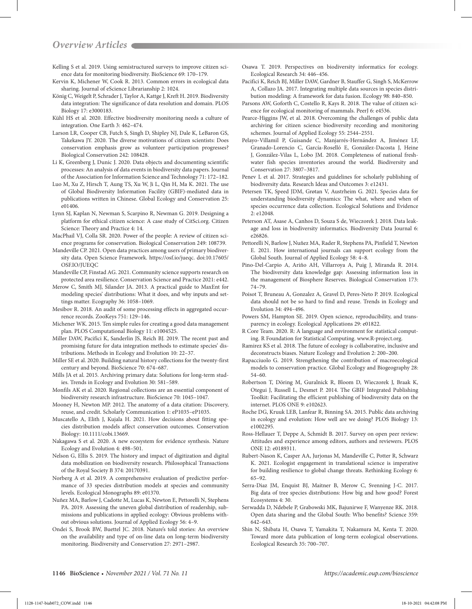- Kelling S et al. 2019. Using semistructured surveys to improve citizen science data for monitoring biodiversity. BioScience 69: 170–179.
- Kervin K, Michener W, Cook R. 2013. Common errors in ecological data sharing. Journal of eScience Librarianship 2: 1024.
- König C, Weigelt P, Schrader J, Taylor A, Kattge J, Kreft H. 2019. Biodiversity data integration: The significance of data resolution and domain. PLOS Biology 17: e3000183.
- Kühl HS et al. 2020. Effective biodiversity monitoring needs a culture of integration. One Earth 3: 462–474.
- Larson LR, Cooper CB, Futch S, Singh D, Shipley NJ, Dale K, LeBaron GS, Takekawa JY. 2020. The diverse motivations of citizen scientists: Does conservation emphasis grow as volunteer participation progresses? Biological Conservation 242: 108428.
- Li K, Greenberg J, Dunic J. 2020. Data objects and documenting scientific processes: An analysis of data events in biodiversity data papers. Journal of the Association for Information Science and Technology 71: 172–182.
- Luo M, Xu Z, Hirsch T, Aung TS, Xu W, Ji L, Qin H, Ma K. 2021. The use of Global Biodiversity Information Facility (GBIF)-mediated data in publications written in Chinese. Global Ecology and Conservation 25: e01406.
- Lynn SJ, Kaplan N, Newman S, Scarpino R, Newman G. 2019. Designing a platform for ethical citizen science: A case study of CitSci.org. Citizen Science: Theory and Practice 4: 14.
- MacPhail VJ, Colla SR. 2020. Power of the people: A review of citizen science programs for conservation. Biological Conservation 249: 108739.
- Mandeville CP. 2021. Open data practices among users of primary biodiversity data. Open Science Framework. https://osf.io/jueqc. doi:10.17605/ OSF.IO/JUEQC
- Mandeville CP, Finstad AG. 2021. Community science supports research on protected area resilience. Conservation Science and Practice 2021: e442.
- Merow C, Smith MJ, Silander JA. 2013. A practical guide to MaxEnt for modeling species' distributions: What it does, and why inputs and settings matter. Ecography 36: 1058–1069.
- Mesibov R. 2018. An audit of some processing effects in aggregated occurrence records. ZooKeys 751: 129–146.
- Michener WK. 2015. Ten simple rules for creating a good data management plan. PLOS Computational Biology 11: e1004525.
- Miller DAW, Pacifici K, Sanderlin JS, Reich BJ. 2019. The recent past and promising future for data integration methods to estimate species' distributions. Methods in Ecology and Evolution 10: 22–37.
- Miller SE et al. 2020. Building natural history collections for the twenty-first century and beyond. BioScience 70: 674–687.
- Mills JA et al. 2015. Archiving primary data: Solutions for long-term studies. Trends in Ecology and Evolution 30: 581–589.
- Monfils AK et al. 2020. Regional collections are an essential component of biodiversity research infrastructure. BioScience 70: 1045–1047.
- Mooney H, Newton MP. 2012. The anatomy of a data citation: Discovery, reuse, and credit. Scholarly Communication 1: eP1035–eP1035.
- Muscatello A, Elith J, Kujala H. 2021. How decisions about fitting species distribution models affect conservation outcomes. Conservation Biology: 10.1111/cobi.13669.
- Nakagawa S et al. 2020. A new ecosystem for evidence synthesis. Nature Ecology and Evolution 4: 498–501.
- Nelson G, Ellis S. 2019. The history and impact of digitization and digital data mobilization on biodiversity research. Philosophical Transactions of the Royal Society B 374: 20170391.
- Norberg A et al. 2019. A comprehensive evaluation of predictive performance of 33 species distribution models at species and community levels. Ecological Monographs 89: e01370.
- Nuñez MA, Barlow J, Cadotte M, Lucas K, Newton E, Pettorelli N, Stephens PA. 2019. Assessing the uneven global distribution of readership, submissions and publications in applied ecology: Obvious problems without obvious solutions. Journal of Applied Ecology 56: 4–9.
- Ondei S, Brook BW, Buettel JC. 2018. Nature's told stories: An overview on the availability and type of on-line data on long-term biodiversity monitoring. Biodiversity and Conservation 27: 2971–2987.
- Osawa T. 2019. Perspectives on biodiversity informatics for ecology. Ecological Research 34: 446–456.
- Pacifici K, Reich BJ, Miller DAW, Gardner B, Stauffer G, Singh S, McKerrow A, Collazo JA. 2017. Integrating multiple data sources in species distribution modeling: A framework for data fusion. Ecology 98: 840–850.
- Parsons AW, Goforth C, Costello R, Kays R. 2018. The value of citizen science for ecological monitoring of mammals. PeerJ 6: e4536.
- Pearce-Higgins JW, et al. 2018. Overcoming the challenges of public data archiving for citizen science biodiversity recording and monitoring schemes. Journal of Applied Ecology 55: 2544–2551.
- Pelayo-Villamil P, Guisande C, Manjarrés-Hernández A, Jiménez LF, Granado-Lorencio C, García-Roselló E, González-Dacosta J, Heine J, González-Vilas L, Lobo JM. 2018. Completeness of national freshwater fish species inventories around the world. Biodiversity and Conservation 27: 3807–3817.
- Penev L et al. 2017. Strategies and guidelines for scholarly publishing of biodiversity data. Research Ideas and Outcomes 3: e12431.
- Petersen TK, Speed JDM, Grøtan V, Austrheim G. 2021. Species data for understanding biodiversity dynamics: The what, where and when of species occurrence data collection. Ecological Solutions and Evidence 2: e12048.
- Peterson AT, Asase A, Canhos D, Souza S de, Wieczorek J. 2018. Data leakage and loss in biodiversity informatics. Biodiversity Data Journal 6: e26826.
- Pettorelli N, Barlow J, Nuñez MA, Rader R, Stephens PA, Pinfield T, Newton E. 2021. How international journals can support ecology from the Global South. Journal of Applied Ecology 58: 4–8.
- Pino-Del-Carpio A, Ariño AH, Villarroya A, Puig J, Miranda R. 2014. The biodiversity data knowledge gap: Assessing information loss in the management of Biosphere Reserves. Biological Conservation 173: 74–79.
- Poisot T, Bruneau A, Gonzalez A, Gravel D, Peres-Neto P. 2019. Ecological data should not be so hard to find and reuse. Trends in Ecology and Evolution 34: 494–496.
- Powers SM, Hampton SE. 2019. Open science, reproducibility, and transparency in ecology. Ecological Applications 29: e01822.
- R Core Team. 2020. R: A language and environment for statistical computing. R Foundation for Statistical Computing. www.R-project.org.
- Ramirez KS et al. 2018. The future of ecology is collaborative, inclusive and deconstructs biases. Nature Ecology and Evolution 2: 200–200.
- Rapacciuolo G. 2019. Strengthening the contribution of macroecological models to conservation practice. Global Ecology and Biogeography 28: 54–60.
- Robertson T, Döring M, Guralnick R, Bloom D, Wieczorek J, Braak K, Otegui J, Russell L, Desmet P. 2014. The GBIF Integrated Publishing Toolkit: Facilitating the efficient publishing of biodiversity data on the internet. PLOS ONE 9: e102623.
- Roche DG, Kruuk LEB, Lanfear R, Binning SA. 2015. Public data archiving in ecology and evolution: How well are we doing? PLOS Biology 13: e1002295.
- Ross-Hellauer T, Deppe A, Schmidt B. 2017. Survey on open peer review: Attitudes and experience among editors, authors and reviewers. PLOS ONE 12: e0189311.
- Rubert-Nason K, Casper AA, Jurjonas M, Mandeville C, Potter R, Schwarz K. 2021. Ecologist engagement in translational science is imperative for building resilience to global change threats. Rethinking Ecology 6: 65–92.
- Serra-Diaz JM, Enquist BJ, Maitner B, Merow C, Svenning J-C. 2017. Big data of tree species distributions: How big and how good? Forest Ecosystems 4: 30.
- Serwadda D, Ndebele P, Grabowski MK, Bajunirwe F, Wanyenze RK. 2018. Open data sharing and the Global South: Who benefits? Science 359: 642–643.
- Shin N, Shibata H, Osawa T, Yamakita T, Nakamura M, Kenta T. 2020. Toward more data publication of long-term ecological observations. Ecological Research 35: 700–707.